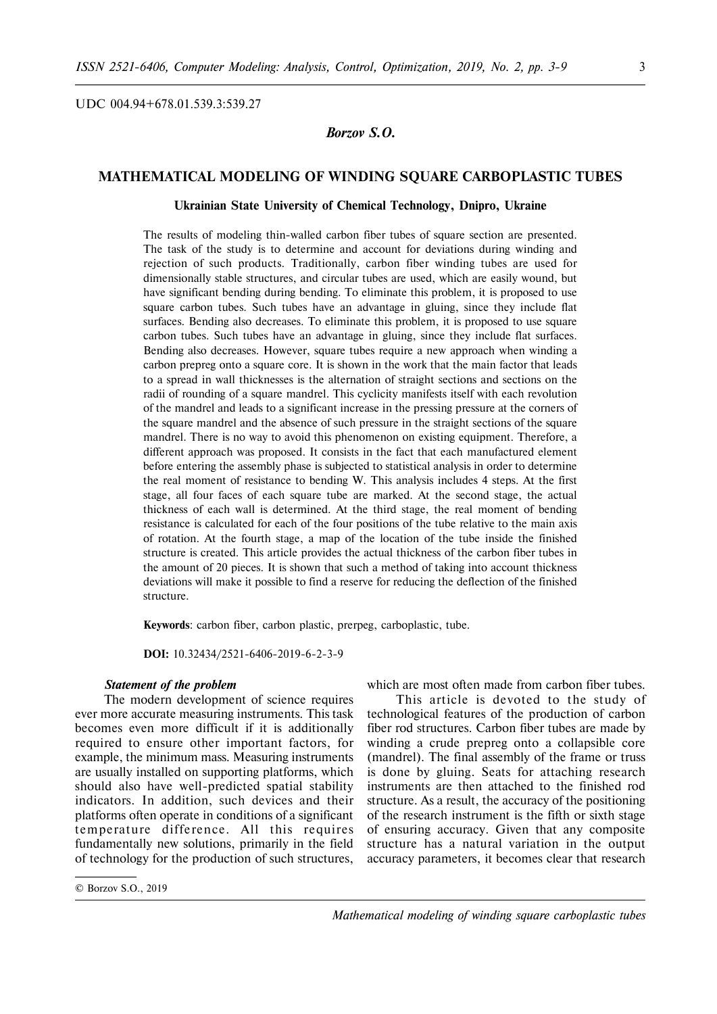UDC 004.94+678.01.539.3:539.27

*Borzov S.O.*

# **MATHEMATICAL MODELING OF WINDING SQUARE CARBOPLASTIC TUBES**

## **Ukrainian State University of Chemical Technology, Dnipro, Ukraine**

The results of modeling thin-walled carbon fiber tubes of square section are presented. The task of the study is to determine and account for deviations during winding and rejection of such products. Traditionally, carbon fiber winding tubes are used for dimensionally stable structures, and circular tubes are used, which are easily wound, but have significant bending during bending. To eliminate this problem, it is proposed to use square carbon tubes. Such tubes have an advantage in gluing, since they include flat surfaces. Bending also decreases. To eliminate this problem, it is proposed to use square carbon tubes. Such tubes have an advantage in gluing, since they include flat surfaces. Bending also decreases. However, square tubes require a new approach when winding a carbon prepreg onto a square core. It is shown in the work that the main factor that leads to a spread in wall thicknesses is the alternation of straight sections and sections on the radii of rounding of a square mandrel. This cyclicity manifests itself with each revolution of the mandrel and leads to a significant increase in the pressing pressure at the corners of the square mandrel and the absence of such pressure in the straight sections of the square mandrel. There is no way to avoid this phenomenon on existing equipment. Therefore, a different approach was proposed. It consists in the fact that each manufactured element before entering the assembly phase is subjected to statistical analysis in order to determine the real moment of resistance to bending W. This analysis includes 4 steps. At the first stage, all four faces of each square tube are marked. At the second stage, the actual thickness of each wall is determined. At the third stage, the real moment of bending resistance is calculated for each of the four positions of the tube relative to the main axis of rotation. At the fourth stage, a map of the location of the tube inside the finished structure is created. This article provides the actual thickness of the carbon fiber tubes in the amount of 20 pieces. It is shown that such a method of taking into account thickness deviations will make it possible to find a reserve for reducing the deflection of the finished structure.

**Keywords**: carbon fiber, carbon plastic, prerpeg, carboplastic, tube.

**DOI:** 10.32434/2521-6406-2019-6-2-3-9

### *Statement of the problem*

The modern development of science requires ever more accurate measuring instruments. This task becomes even more difficult if it is additionally required to ensure other important factors, for example, the minimum mass. Measuring instruments are usually installed on supporting platforms, which should also have well-predicted spatial stability indicators. In addition, such devices and their platforms often operate in conditions of a significant temperature difference. All this requires fundamentally new solutions, primarily in the field of technology for the production of such structures,

© Borzov S.O., 2019

which are most often made from carbon fiber tubes.

This article is devoted to the study of technological features of the production of carbon fiber rod structures. Carbon fiber tubes are made by winding a crude prepreg onto a collapsible core (mandrel). The final assembly of the frame or truss is done by gluing. Seats for attaching research instruments are then attached to the finished rod structure. As a result, the accuracy of the positioning of the research instrument is the fifth or sixth stage of ensuring accuracy. Given that any composite structure has a natural variation in the output accuracy parameters, it becomes clear that research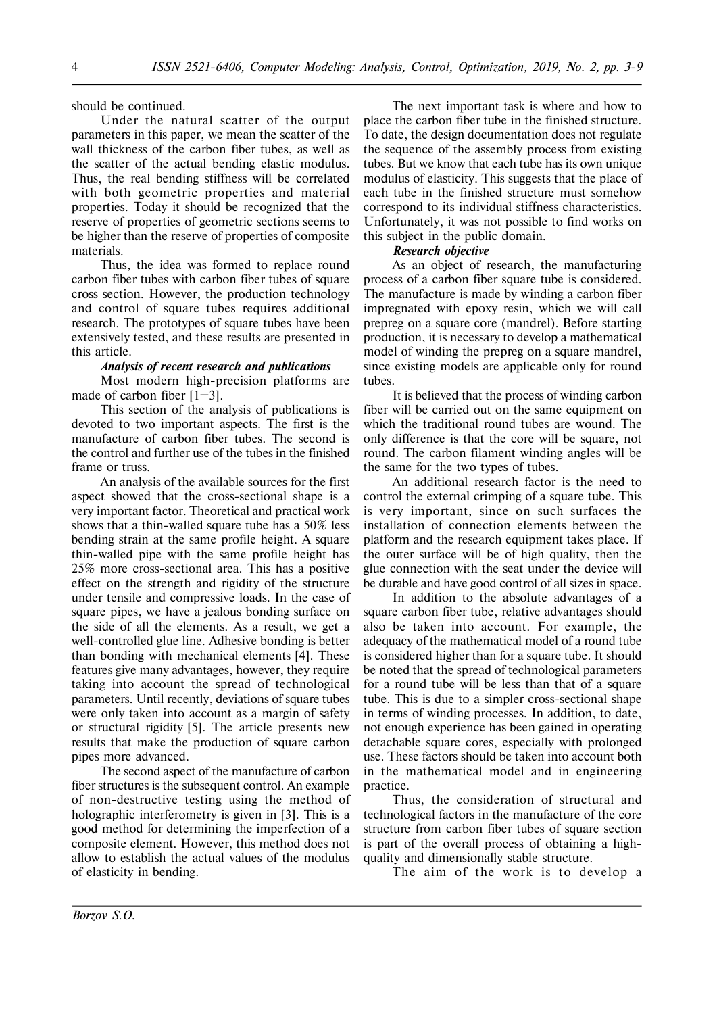should be continued.

Under the natural scatter of the output parameters in this paper, we mean the scatter of the wall thickness of the carbon fiber tubes, as well as the scatter of the actual bending elastic modulus. Thus, the real bending stiffness will be correlated with both geometric properties and material properties. Today it should be recognized that the reserve of properties of geometric sections seems to be higher than the reserve of properties of composite materials.

Thus, the idea was formed to replace round carbon fiber tubes with carbon fiber tubes of square cross section. However, the production technology and control of square tubes requires additional research. The prototypes of square tubes have been extensively tested, and these results are presented in this article.

# *Analysis of recent research and publications*

Most modern high-precision platforms are made of carbon fiber  $[1-3]$ .

This section of the analysis of publications is devoted to two important aspects. The first is the manufacture of carbon fiber tubes. The second is the control and further use of the tubes in the finished frame or truss.

An analysis of the available sources for the first aspect showed that the cross-sectional shape is a very important factor. Theoretical and practical work shows that a thin-walled square tube has a 50% less bending strain at the same profile height. A square thin-walled pipe with the same profile height has 25% more cross-sectional area. This has a positive effect on the strength and rigidity of the structure under tensile and compressive loads. In the case of square pipes, we have a jealous bonding surface on the side of all the elements. As a result, we get a well-controlled glue line. Adhesive bonding is better than bonding with mechanical elements [4]. These features give many advantages, however, they require taking into account the spread of technological parameters. Until recently, deviations of square tubes were only taken into account as a margin of safety or structural rigidity [5]. The article presents new results that make the production of square carbon pipes more advanced.

The second aspect of the manufacture of carbon fiber structures is the subsequent control. An example of non-destructive testing using the method of holographic interferometry is given in [3]. This is a good method for determining the imperfection of a composite element. However, this method does not allow to establish the actual values of the modulus of elasticity in bending.

The next important task is where and how to place the carbon fiber tube in the finished structure. To date, the design documentation does not regulate the sequence of the assembly process from existing tubes. But we know that each tube has its own unique modulus of elasticity. This suggests that the place of each tube in the finished structure must somehow correspond to its individual stiffness characteristics. Unfortunately, it was not possible to find works on this subject in the public domain.

# *Research objective*

As an object of research, the manufacturing process of a carbon fiber square tube is considered. The manufacture is made by winding a carbon fiber impregnated with epoxy resin, which we will call prepreg on a square core (mandrel). Before starting production, it is necessary to develop a mathematical model of winding the prepreg on a square mandrel, since existing models are applicable only for round tubes.

It is believed that the process of winding carbon fiber will be carried out on the same equipment on which the traditional round tubes are wound. The only difference is that the core will be square, not round. The carbon filament winding angles will be the same for the two types of tubes.

An additional research factor is the need to control the external crimping of a square tube. This is very important, since on such surfaces the installation of connection elements between the platform and the research equipment takes place. If the outer surface will be of high quality, then the glue connection with the seat under the device will be durable and have good control of all sizes in space.

In addition to the absolute advantages of a square carbon fiber tube, relative advantages should also be taken into account. For example, the adequacy of the mathematical model of a round tube is considered higher than for a square tube. It should be noted that the spread of technological parameters for a round tube will be less than that of a square tube. This is due to a simpler cross-sectional shape in terms of winding processes. In addition, to date, not enough experience has been gained in operating detachable square cores, especially with prolonged use. These factors should be taken into account both in the mathematical model and in engineering practice.

Thus, the consideration of structural and technological factors in the manufacture of the core structure from carbon fiber tubes of square section is part of the overall process of obtaining a highquality and dimensionally stable structure.

The aim of the work is to develop a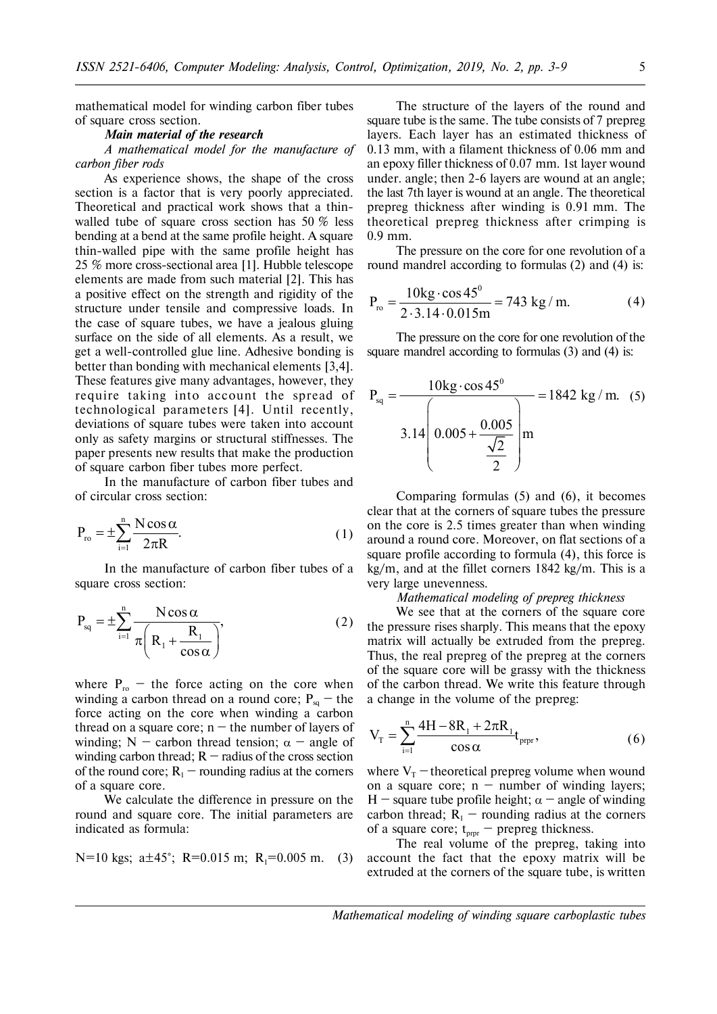mathematical model for winding carbon fiber tubes of square cross section.

# *Main material of the research*

## *A mathematical model for the manufacture of carbon fiber rods*

As experience shows, the shape of the cross section is a factor that is very poorly appreciated. Theoretical and practical work shows that a thinwalled tube of square cross section has 50 % less bending at a bend at the same profile height. A square thin-walled pipe with the same profile height has 25 % more cross-sectional area [1]. Hubble telescope elements are made from such material [2]. This has a positive effect on the strength and rigidity of the structure under tensile and compressive loads. In the case of square tubes, we have a jealous gluing surface on the side of all elements. As a result, we get a well-controlled glue line. Adhesive bonding is better than bonding with mechanical elements [3,4]. These features give many advantages, however, they require taking into account the spread of technological parameters [4]. Until recently, deviations of square tubes were taken into account only as safety margins or structural stiffnesses. The paper presents new results that make the production of square carbon fiber tubes more perfect.

In the manufacture of carbon fiber tubes and of circular cross section:

$$
P_{ro} = \pm \sum_{i=1}^{n} \frac{N \cos \alpha}{2\pi R}.
$$
 (1)

In the manufacture of carbon fiber tubes of a square cross section:

$$
P_{sq} = \pm \sum_{i=1}^{n} \frac{N \cos \alpha}{\pi \left(R_{1} + \frac{R_{1}}{\cos \alpha}\right)},
$$
\n(2)

where  $P_{r_0}$  – the force acting on the core when winding a carbon thread on a round core;  $P_{sa}$  – the force acting on the core when winding a carbon thread on a square core;  $n -$  the number of layers of winding; N – carbon thread tension;  $\alpha$  – angle of winding carbon thread;  $R$  – radius of the cross section of the round core;  $\mathsf{R}_{{\scriptscriptstyle1}}-$  rounding radius at the corners of a square core.

We calculate the difference in pressure on the round and square core. The initial parameters are indicated as formula:

N=10 kgs; 
$$
a\pm 45^{\circ}
$$
; R=0.015 m; R<sub>1</sub>=0.005 m. (3)

The structure of the layers of the round and square tube is the same. The tube consists of 7 prepreg layers. Each layer has an estimated thickness of 0.13 mm, with a filament thickness of 0.06 mm and an epoxy filler thickness of 0.07 mm. 1st layer wound under. angle; then 2-6 layers are wound at an angle; the last 7th layer is wound at an angle. The theoretical prepreg thickness after winding is 0.91 mm. The theoretical prepreg thickness after crimping is 0.9 mm.

The pressure on the core for one revolution of a round mandrel according to formulas (2) and (4) is:

$$
P_{ro} = \frac{10 \text{kg} \cdot \text{cos} 45^{\circ}}{2 \cdot 3.14 \cdot 0.015 \text{m}} = 743 \text{ kg/m}.
$$
 (4)

The pressure on the core for one revolution of the square mandrel according to formulas (3) and (4) is:

$$
P_{sq} = \frac{10 \text{kg} \cdot \cos 45^{\circ}}{3.14 \left( 0.005 + \frac{0.005}{\sqrt{2}} \right) m} = 1842 \text{ kg/m}.
$$
 (5)

Comparing formulas (5) and (6), it becomes clear that at the corners of square tubes the pressure on the core is 2.5 times greater than when winding around a round core. Moreover, on flat sections of a square profile according to formula (4), this force is kg/m, and at the fillet corners 1842 kg/m. This is a very large unevenness.

### *Mathematical modeling of prepreg thickness*

We see that at the corners of the square core the pressure rises sharply. This means that the epoxy matrix will actually be extruded from the prepreg. Thus, the real prepreg of the prepreg at the corners of the square core will be grassy with the thickness of the carbon thread. We write this feature through a change in the volume of the prepreg:

$$
V_{T} = \sum_{i=1}^{n} \frac{4H - 8R_{1} + 2\pi R_{1}}{\cos \alpha} t_{prpr},
$$
 (6)

where  $\rm V_{\scriptscriptstyle T}$  — theoretical prepreg volume when wound on a square core;  $n - number$  of winding layers; H – square tube profile height;  $\alpha$  – angle of winding carbon thread;  $R_1$  – rounding radius at the corners of a square core;  $t_{prpr}$  – prepreg thickness.

The real volume of the prepreg, taking into account the fact that the epoxy matrix will be extruded at the corners of the square tube, is written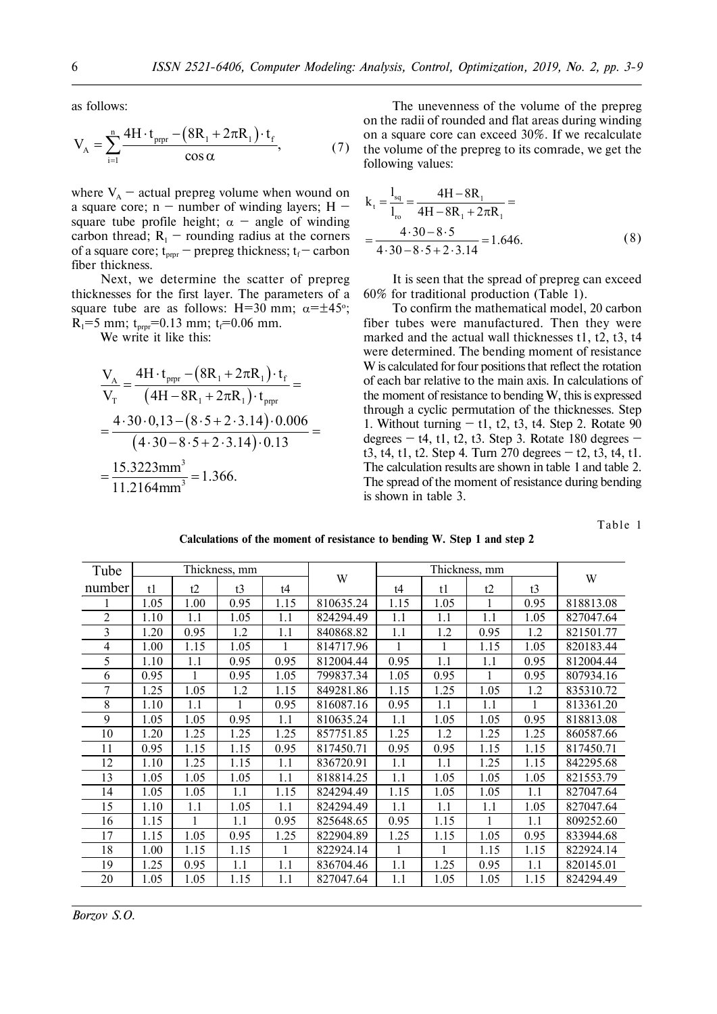as follows:

$$
V_{A} = \sum_{i=1}^{n} \frac{4H \cdot t_{prpr} - (8R_{1} + 2\pi R_{1}) \cdot t_{f}}{\cos \alpha},
$$
 (7)

where  $V_A$  – actual prepreg volume when wound on a square core;  $n -$  number of winding layers;  $H$ square tube profile height;  $\alpha$  – angle of winding carbon thread;  $R_1$  - rounding radius at the corners of a square core;  $t_{\text{prp}}$  – prepreg thickness;  $t_f$  – carbon fiber thickness.

Next, we determine the scatter of prepreg thicknesses for the first layer. The parameters of a square tube are as follows: H=30 mm;  $\alpha$ = $\pm$ 45°;  $R_1$ =5 mm; t<sub>prpr</sub>=0.13 mm; t<sub>f</sub>=0.06 mm.

We write it like this:

$$
\frac{V_{A}}{V_{T}} = \frac{4H \cdot t_{\text{ppr}} - (8R_{1} + 2\pi R_{1}) \cdot t_{f}}{(4H - 8R_{1} + 2\pi R_{1}) \cdot t_{\text{ppr}}} =
$$
\n
$$
= \frac{4 \cdot 30 \cdot 0, 13 - (8 \cdot 5 + 2 \cdot 3.14) \cdot 0.006}{(4 \cdot 30 - 8 \cdot 5 + 2 \cdot 3.14) \cdot 0.13} =
$$
\n
$$
= \frac{15.3223 \text{mm}^{3}}{11.2164 \text{mm}^{3}} = 1.366.
$$

The unevenness of the volume of the prepreg on the radii of rounded and flat areas during winding on a square core can exceed 30%. If we recalculate the volume of the prepreg to its comrade, we get the following values:

$$
k_{t} = \frac{l_{sq}}{l_{ro}} = \frac{4H - 8R_{1}}{4H - 8R_{1} + 2\pi R_{1}} =
$$
  
= 
$$
\frac{4.30 - 8.5}{4.30 - 8.5 + 2.3.14} = 1.646.
$$
 (8)

It is seen that the spread of prepreg can exceed 60% for traditional production (Table 1).

To confirm the mathematical model, 20 carbon fiber tubes were manufactured. Then they were marked and the actual wall thicknesses t1, t2, t3, t4 were determined. The bending moment of resistance W is calculated for four positions that reflect the rotation of each bar relative to the main axis. In calculations of the moment of resistance to bending W, this is expressed through a cyclic permutation of the thicknesses. Step 1. Without turning  $- t1$ , t2, t3, t4. Step 2. Rotate 90 degrees – t4, t1, t2, t3. Step 3. Rotate 180 degrees – t3, t4, t1, t2. Step 4. Turn 270 degrees  $- t2$ , t3, t4, t1. The calculation results are shown in table 1 and table 2. The spread of the moment of resistance during bending is shown in table 3.

Table 1

| Tube   | Thickness, mm |              |      | W    | Thickness, mm |      |      |      |                |           |
|--------|---------------|--------------|------|------|---------------|------|------|------|----------------|-----------|
| number | t1            | t2           | t3   | t4   |               | t4   | t1   | t2   | t <sub>3</sub> | W         |
|        | 1.05          | 1.00         | 0.95 | 1.15 | 810635.24     | 1.15 | 1.05 |      | 0.95           | 818813.08 |
| 2      | 1.10          | 1.1          | 1.05 | 1.1  | 824294.49     | 1.1  | 1.1  | 1.1  | 1.05           | 827047.64 |
| 3      | 1.20          | 0.95         | 1.2  | 1.1  | 840868.82     | 1.1  | 1.2  | 0.95 | 1.2            | 821501.77 |
| 4      | 1.00          | 1.15         | 1.05 | 1    | 814717.96     | 1    | 1    | 1.15 | 1.05           | 820183.44 |
| 5      | 1.10          | 1.1          | 0.95 | 0.95 | 812004.44     | 0.95 | 1.1  | 1.1  | 0.95           | 812004.44 |
| 6      | 0.95          |              | 0.95 | 1.05 | 799837.34     | 1.05 | 0.95 |      | 0.95           | 807934.16 |
| 7      | 1.25          | 1.05         | 1.2  | 1.15 | 849281.86     | 1.15 | 1.25 | 1.05 | 1.2            | 835310.72 |
| 8      | 1.10          | 1.1          |      | 0.95 | 816087.16     | 0.95 | 1.1  | 1.1  |                | 813361.20 |
| 9      | 1.05          | 1.05         | 0.95 | 1.1  | 810635.24     | 1.1  | 1.05 | 1.05 | 0.95           | 818813.08 |
| 10     | 1.20          | 1.25         | 1.25 | 1.25 | 857751.85     | 1.25 | 1.2  | 1.25 | 1.25           | 860587.66 |
| 11     | 0.95          | 1.15         | 1.15 | 0.95 | 817450.71     | 0.95 | 0.95 | 1.15 | 1.15           | 817450.71 |
| 12     | 1.10          | 1.25         | 1.15 | 1.1  | 836720.91     | 1.1  | 1.1  | 1.25 | 1.15           | 842295.68 |
| 13     | 1.05          | 1.05         | 1.05 | 1.1  | 818814.25     | 1.1  | 1.05 | 1.05 | 1.05           | 821553.79 |
| 14     | 1.05          | 1.05         | 1.1  | 1.15 | 824294.49     | 1.15 | 1.05 | 1.05 | 1.1            | 827047.64 |
| 15     | 1.10          | 1.1          | 1.05 | 1.1  | 824294.49     | 1.1  | 1.1  | 1.1  | 1.05           | 827047.64 |
| 16     | 1.15          | $\mathbf{1}$ | 1.1  | 0.95 | 825648.65     | 0.95 | 1.15 |      | 1.1            | 809252.60 |
| 17     | 1.15          | 1.05         | 0.95 | 1.25 | 822904.89     | 1.25 | 1.15 | 1.05 | 0.95           | 833944.68 |
| 18     | 1.00          | 1.15         | 1.15 |      | 822924.14     | 1    |      | 1.15 | 1.15           | 822924.14 |
| 19     | 1.25          | 0.95         | 1.1  | 1.1  | 836704.46     | 1.1  | 1.25 | 0.95 | 1.1            | 820145.01 |
| 20     | 1.05          | 1.05         | 1.15 | 1.1  | 827047.64     | 1.1  | 1.05 | 1.05 | 1.15           | 824294.49 |

**Calculations of the moment of resistance to bending W. Step 1 and step 2**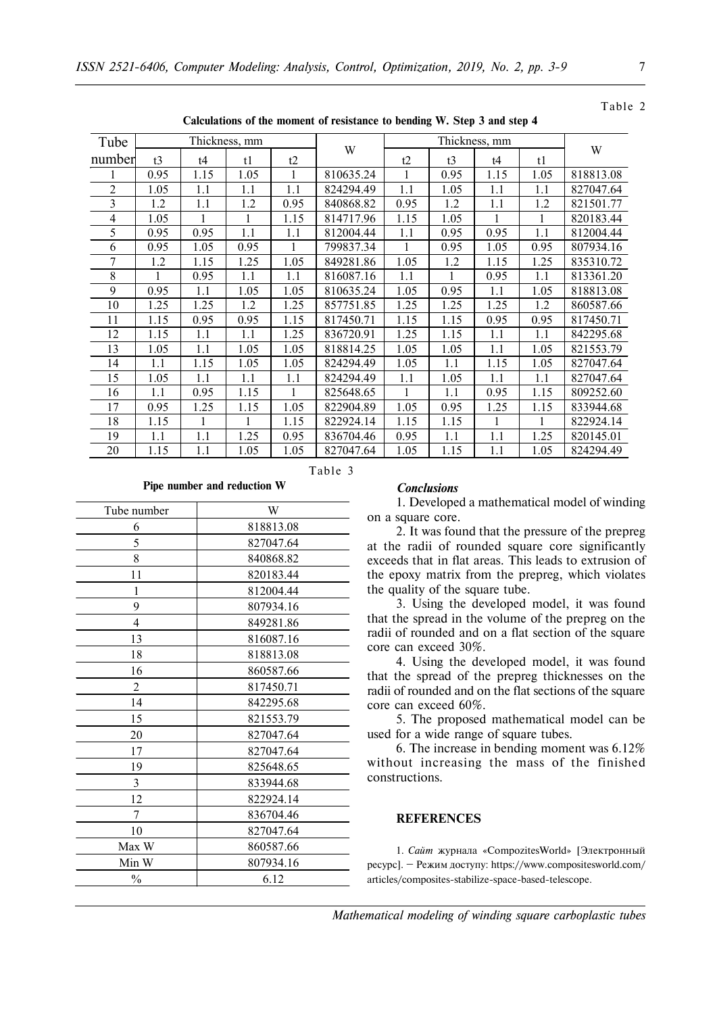| Tube   | Thickness, mm  |      |      |      |           | Thickness, mm |                |      |      |           |
|--------|----------------|------|------|------|-----------|---------------|----------------|------|------|-----------|
| number | t <sub>3</sub> | t4   | t1   | t2   | W         | t2            | t <sub>3</sub> | t4   | t1   | W         |
|        | 0.95           | 1.15 | 1.05 | 1    | 810635.24 | 1             | 0.95           | 1.15 | 1.05 | 818813.08 |
| 2      | 1.05           | 1.1  | 1.1  | 1.1  | 824294.49 | 1.1           | 1.05           | 1.1  | 1.1  | 827047.64 |
| 3      | 1.2            | 1.1  | 1.2  | 0.95 | 840868.82 | 0.95          | 1.2            | 1.1  | 1.2  | 821501.77 |
| 4      | 1.05           | 1    |      | 1.15 | 814717.96 | 1.15          | 1.05           |      |      | 820183.44 |
| 5      | 0.95           | 0.95 | 1.1  | 1.1  | 812004.44 | 1.1           | 0.95           | 0.95 | 1.1  | 812004.44 |
| 6      | 0.95           | 1.05 | 0.95 |      | 799837.34 | 1             | 0.95           | 1.05 | 0.95 | 807934.16 |
| 7      | 1.2            | 1.15 | 1.25 | 1.05 | 849281.86 | 1.05          | 1.2            | 1.15 | 1.25 | 835310.72 |
| 8      |                | 0.95 | 1.1  | 1.1  | 816087.16 | 1.1           | 1              | 0.95 | 1.1  | 813361.20 |
| 9      | 0.95           | 1.1  | 1.05 | 1.05 | 810635.24 | 1.05          | 0.95           | 1.1  | 1.05 | 818813.08 |
| 10     | 1.25           | 1.25 | 1.2  | 1.25 | 857751.85 | 1.25          | 1.25           | 1.25 | 1.2  | 860587.66 |
| 11     | 1.15           | 0.95 | 0.95 | 1.15 | 817450.71 | 1.15          | 1.15           | 0.95 | 0.95 | 817450.71 |
| 12     | 1.15           | 1.1  | 1.1  | 1.25 | 836720.91 | 1.25          | 1.15           | 1.1  | 1.1  | 842295.68 |
| 13     | 1.05           | 1.1  | 1.05 | 1.05 | 818814.25 | 1.05          | 1.05           | 1.1  | 1.05 | 821553.79 |
| 14     | 1.1            | 1.15 | 1.05 | 1.05 | 824294.49 | 1.05          | 1.1            | 1.15 | 1.05 | 827047.64 |
| 15     | 1.05           | 1.1  | 1.1  | 1.1  | 824294.49 | 1.1           | 1.05           | 1.1  | 1.1  | 827047.64 |
| 16     | 1.1            | 0.95 | 1.15 | 1    | 825648.65 | $\mathbf{1}$  | 1.1            | 0.95 | 1.15 | 809252.60 |
| 17     | 0.95           | 1.25 | 1.15 | 1.05 | 822904.89 | 1.05          | 0.95           | 1.25 | 1.15 | 833944.68 |
| 18     | 1.15           | 1    |      | 1.15 | 822924.14 | 1.15          | 1.15           |      | 1    | 822924.14 |
| 19     | 1.1            | 1.1  | 1.25 | 0.95 | 836704.46 | 0.95          | 1.1            | 1.1  | 1.25 | 820145.01 |
| 20     | 1.15           | 1.1  | 1.05 | 1.05 | 827047.64 | 1.05          | 1.15           | 1.1  | 1.05 | 824294.49 |

**Calculations of the moment of resistance to bending W. Step 3 and step 4**

Table 3

**Pipe number and reduction W**

| Tube number    | W         |
|----------------|-----------|
| 6              | 818813.08 |
| 5              | 827047.64 |
| 8              | 840868.82 |
| 11             | 820183.44 |
| 1              | 812004.44 |
| 9              | 807934.16 |
| 4              | 849281.86 |
| 13             | 816087.16 |
| 18             | 818813.08 |
| 16             | 860587.66 |
| $\overline{c}$ | 817450.71 |
| 14             | 842295.68 |
| 15             | 821553.79 |
| 20             | 827047.64 |
| 17             | 827047.64 |
| 19             | 825648.65 |
| 3              | 833944.68 |
| 12             | 822924.14 |
| 7              | 836704.46 |
| 10             | 827047.64 |
| Max W          | 860587.66 |
| Min W          | 807934.16 |
| $\frac{0}{0}$  | 6.12      |

#### *Conclusions*

1. Developed a mathematical model of winding on a square core.

2. It was found that the pressure of the prepreg at the radii of rounded square core significantly exceeds that in flat areas. This leads to extrusion of the epoxy matrix from the prepreg, which violates the quality of the square tube.

3. Using the developed model, it was found that the spread in the volume of the prepreg on the radii of rounded and on a flat section of the square core can exceed 30%.

4. Using the developed model, it was found that the spread of the prepreg thicknesses on the radii of rounded and on the flat sections of the square core can exceed 60%.

5. The proposed mathematical model can be used for a wide range of square tubes.

6. The increase in bending moment was 6.12% without increasing the mass of the finished constructions.

## **REFERENCES**

1. *Сайт* журнала «CompozitesWorld» [Электронный ресурс]. – Режим доступу: https://www.compositesworld.com/ articles/composites-stabilize-space-based-telescope.

*Mathematical modeling of winding square carboplastic tubes*

Table 2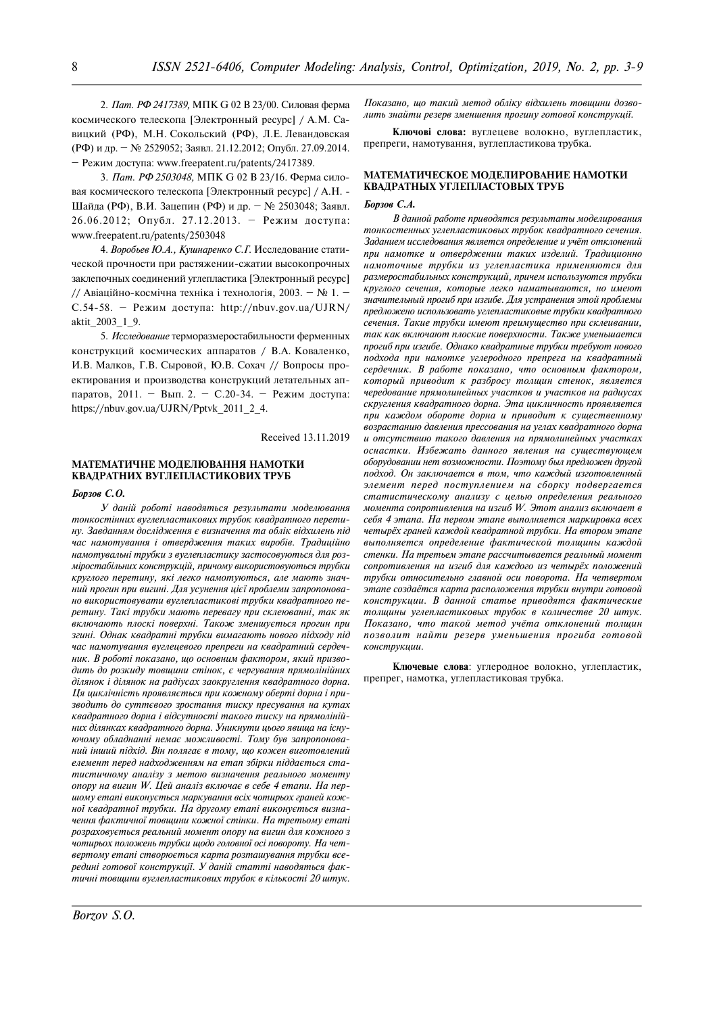2. *Пат. РФ 2417389*, МПК G 02 В 23/00. Силовая ферма космического телескопа [Электронный ресурс] / А.М. Савицкий (РФ), М.Н. Сокольский (РФ), Л.Е. Левандовская (РФ) и др. - № 2529052; Заявл. 21.12.2012; Опубл. 27.09.2014. – Ðåæèì äîñòóïà: www.freepatent.ru/patents/2417389.

3. Пат. РФ 2503048, МПК G 02 В 23/16. Ферма силовая космического телескопа [Электронный ресурс] / А.Н. -Шайда (РФ), В.И. Зацепин (РФ) и др. – № 2503048; Заявл. 26.06.2012; Опубл. 27.12.2013. – Режим доступа: www.freepatent.ru/patents/2503048

4. Воробьев Ю.А., Кушнаренко С.Г. Исследование статической прочности при растяжении-сжатии высокопрочных заклепочных соединений углепластика [Электронный ресурс] // Авіаційно-космічна техніка і технологія, 2003. – № 1. – С.54-58. – Режим доступа: http://nbuv.gov.ua/UJRN/ aktit\_2003\_1\_9.

5. Исследование терморазмеростабильности ферменных конструкций космических аппаратов / В.А. Коваленко, И.В. Малков, Г.В. Сыровой, Ю.В. Сохач // Вопросы проектирования и производства конструкций летательных аппаратов, 2011. – Вып. 2. – С.20-34. – Режим доступа: https://nbuv.gov.ua/UJRN/Pptvk\_2011\_2\_4.

Received 13.11.2019

## **МАТЕМАТИЧНЕ МОЛЕЛЮВАННЯ НАМОТКИ** КВАДРАТНИХ ВУГЛЕПЛАСТИКОВИХ ТРУБ

#### $F$ *Борзов* С.О.

 $\boldsymbol{y}$  даній роботі наводяться результати моделювання *òîíêîñò³ííèõ âóãëåïëàñòèêîâèõ òðóáîê êâàäðàòíîãî ïåðåòèíó. Çàâäàííÿì äîñë³äæåííÿ º âèçíà÷åííÿ òà îáë³ê â³äõèëåíü ï³ä* час намотування *і* отвердження таких виробів. Традиційно *íàìîòóâàëüí³ òðóáêè ç âóãëåïëàñòèêó çàñòîñîâóþòüñÿ äëÿ ðîçì³ðîñòàá³ëüíèõ êîíñòðóêö³é, ïðè÷îìó âèêîðèñòîâóþòüñÿ òðóáêè êðóãëîãî ïåðåòèíó, ÿê³ ëåãêî íàìîòóþòüñÿ, àëå ìàþòü çíà÷* ний прогин при вигині. Для усунення цієї проблеми запропонова*íî âèêîðèñòîâóâàòè âóãëåïëàñòèêîâ³ òðóáêè êâàäðàòíîãî ïå*ретину. Такі трубки мають перевагу при склеюванні, так як включають плоскі поверхні. Також зменшується прогин при згині. Однак квадратні трубки вимагають нового nidxody nid *÷àñ íàìîòóâàííÿ âóãëåöåâîãî ïðåïðåãè íà êâàäðàòíèé ñåðäå÷* ник. В роботі показано, що основним фактором, який призводить до розкиду товщини стінок, є чергування прямолінійних ділянок і ділянок на радіусах заокруглення квадратного дорна. *Öÿ öèêë³÷í³ñòü ïðîÿâëÿºòüñÿ ïðè êîæíîìó îáåðò³ äîðíà ³ ïðè*зводить до суттєвого зростання тиску пресування на кутах квадратного дорна і відсутності такого тиску на прямолінійних ділянках квадратного дорна. Уникнути цього явища на існуючому обладнанні немає можливості. Тому був запропонований інший підхід. Він полягає в тому, що кожен виготовлений елемент перед надходженням на етап збірки піддається статистичному аналізу з метою визначення реального моменту *опору на вигин W. Цей аналіз включає в себе 4 етапи. На перøîìó åòàï³ âèêîíóºòüñÿ ìàðêóâàííÿ âñ³õ ÷îòèðüîõ ãðàíåé êîæ*ної квадратної трубки. На другому етапі виконується визначення фактичної товщини кожної стінки. На третьому етапі розраховується реальний момент опору на вигин для кожного з *÷îòèðüîõ ïîëîæåíü òðóáêè ùîäî ãîëîâíî¿ îñ³ ïîâîðîòó. Íà ÷åòâåðòîìó åòàï³ ñòâîðþºòüñÿ êàðòà ðîçòàøóâàííÿ òðóáêè âñå*редині готової конструкції. У даній статті наводяться фак*òè÷í³ òîâùèíè âóãëåïëàñòèêîâèõ òðóáîê â ê³ëüêîñò³ 20 øòóê.* Показано, що такий метод обліку відхилень товщини дозволить знайти резерв зменшення прогину готової конструкції.

Ключові слова: вуглецеве волокно, вуглепластик. препреги, намотування, вуглепластикова трубка.

## **МАТЕМАТИЧЕСКОЕ МОДЕЛИРОВАНИЕ НАМОТКИ** КВАДРАТНЫХ УГЛЕПЛАСТОВЫХ ТРУБ

#### *<i>Kop306* C.A.

В данной работе приводятся результаты моделирования *òîíêîñòåííûõ óãëåïëàñòèêîâûõ òðóáîê êâàäðàòíîãî ñå÷åíèÿ.* Заданием исследования является определение и учёт отклонений при намотке и отверджении таких изделий. Традиционно намоточные трубки из углепластика применяются для размеростабильных конструкций, причем используются трубки *êðóãëîãî ñå÷åíèÿ, êîòîðûå ëåãêî íàìàòûâàþòñÿ, íî èìåþò* значительный прогиб при изгибе. Для устранения этой проблемы предложено использовать углепластиковые трубки квадратного *ñå÷åíèÿ. Òàêèå òðóáêè èìåþò ïðåèìóùåñòâî ïðè ñêëåèâàíèè,* так как включают плоские поверхности. Также уменьшается прогиб при изгибе. Однако квадратные трубки требуют нового *ïîäõîäà ïðè íàìîòêå óãëåðîäíîãî ïðåïðåãà íà êâàäðàòíûé* сердечник. В работе показано, что основным фактором, *êîòîðûé ïðèâîäèò ê ðàçáðîñó òîëùèí ñòåíîê, ÿâëÿåòñÿ ÷åðåäîâàíèå ïðÿìîëèíåéíûõ ó÷àñòêîâ è ó÷àñòêîâ íà ðàäèóñàõ* скругления квадратного дорна. Эта цикличность проявляется при каждом обороте дорна и приводит к существенному *âîçðàñòàíèþ äàâëåíèÿ ïðåññîâàíèÿ íà óãëàõ êâàäðàòíîãî äîðíà è îòñóòñòâèþ òàêîãî äàâëåíèÿ íà ïðÿìîëèíåéíûõ ó÷àñòêàõ îñíàñòêè. Èçáåæàòü äàííîãî ÿâëåíèÿ íà ñóùåñòâóþùåì îáîðóäîâàíèè íåò âîçìîæíîñòè. Ïîýòîìó áûë ïðåäëîæåí äðóãîé подход. Он заключается в том, что каждый изготовленный* элемент перед поступлением на сборку подвергается статистическому анализу с целью определения реального *момента сопротивления на изгиб W. Этот анализ включает в* себя 4 этапа. На первом этапе выполняется маркировка всех четырёх граней каждой квадратной трубки. На втором этапе выполняется определение фактической толщины каждой стенки. На третьем этапе рассчитывается реальный момент сопротивления на изгиб для каждого из четырёх положений трубки относительно главной оси поворота. На четвертом этапе создаётся карта расположения трубки внутри готовой  $k$ онструкции. В данной статье приводятся фактические *толшины углепластиковых трубок в количестве 20 штук.* Показано, что такой метод учёта отклонений толщин позволит найти резерв уменьшения прогиба готовой  $k$ *онструкции*.

Ключевые слова: углеродное волокно, углепластик, препрег, намотка, углепластиковая трубка.